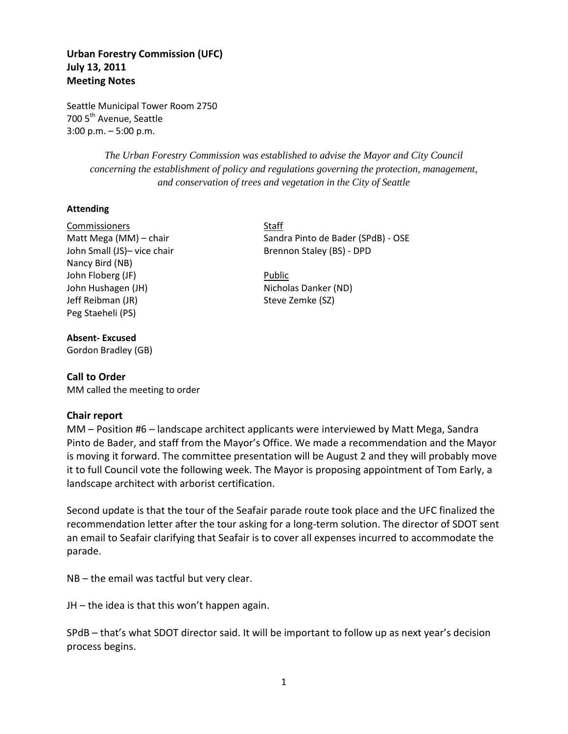# **Urban Forestry Commission (UFC) July 13, 2011 Meeting Notes**

Seattle Municipal Tower Room 2750 700 5<sup>th</sup> Avenue, Seattle 3:00 p.m. – 5:00 p.m.

> *The Urban Forestry Commission was established to advise the Mayor and City Council concerning the establishment of policy and regulations governing the protection, management, and conservation of trees and vegetation in the City of Seattle*

## **Attending**

Commissioners Staff Matt Mega (MM) – chair Sandra Pinto de Bader (SPdB) - OSE John Small (JS)- vice chair Brennon Staley (BS) - DPD Nancy Bird (NB) John Floberg (JF) **Public** John Hushagen (JH) Nicholas Danker (ND) Jeff Reibman (JR) Steve Zemke (SZ) Peg Staeheli (PS)

**Absent- Excused** Gordon Bradley (GB)

## **Call to Order**

MM called the meeting to order

### **Chair report**

MM – Position #6 – landscape architect applicants were interviewed by Matt Mega, Sandra Pinto de Bader, and staff from the Mayor's Office. We made a recommendation and the Mayor is moving it forward. The committee presentation will be August 2 and they will probably move it to full Council vote the following week. The Mayor is proposing appointment of Tom Early, a landscape architect with arborist certification.

Second update is that the tour of the Seafair parade route took place and the UFC finalized the recommendation letter after the tour asking for a long-term solution. The director of SDOT sent an email to Seafair clarifying that Seafair is to cover all expenses incurred to accommodate the parade.

NB – the email was tactful but very clear.

JH – the idea is that this won't happen again.

SPdB – that's what SDOT director said. It will be important to follow up as next year's decision process begins.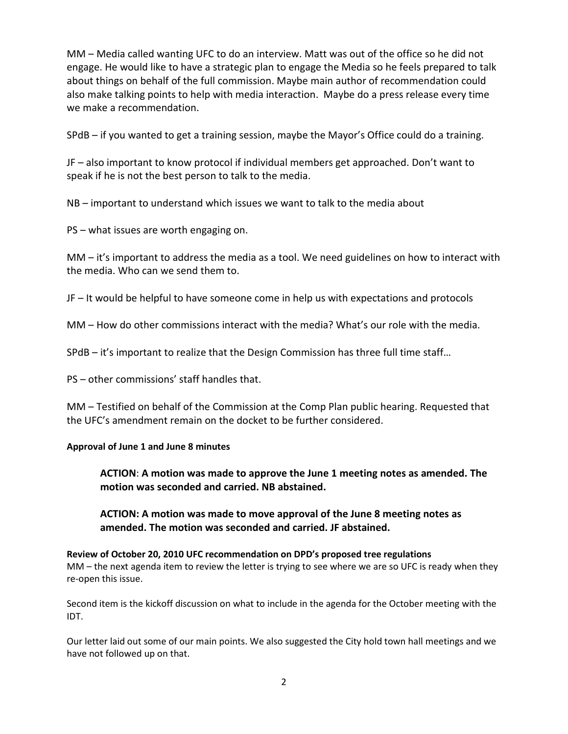MM – Media called wanting UFC to do an interview. Matt was out of the office so he did not engage. He would like to have a strategic plan to engage the Media so he feels prepared to talk about things on behalf of the full commission. Maybe main author of recommendation could also make talking points to help with media interaction. Maybe do a press release every time we make a recommendation.

SPdB – if you wanted to get a training session, maybe the Mayor's Office could do a training.

JF – also important to know protocol if individual members get approached. Don't want to speak if he is not the best person to talk to the media.

NB – important to understand which issues we want to talk to the media about

PS – what issues are worth engaging on.

MM – it's important to address the media as a tool. We need guidelines on how to interact with the media. Who can we send them to.

JF – It would be helpful to have someone come in help us with expectations and protocols

MM – How do other commissions interact with the media? What's our role with the media.

SPdB – it's important to realize that the Design Commission has three full time staff…

PS – other commissions' staff handles that.

MM – Testified on behalf of the Commission at the Comp Plan public hearing. Requested that the UFC's amendment remain on the docket to be further considered.

### **Approval of June 1 and June 8 minutes**

**ACTION**: **A motion was made to approve the June 1 meeting notes as amended. The motion was seconded and carried. NB abstained.**

**ACTION: A motion was made to move approval of the June 8 meeting notes as amended. The motion was seconded and carried. JF abstained.**

**Review of October 20, 2010 UFC recommendation on DPD's proposed tree regulations** MM – the next agenda item to review the letter is trying to see where we are so UFC is ready when they re-open this issue.

Second item is the kickoff discussion on what to include in the agenda for the October meeting with the IDT.

Our letter laid out some of our main points. We also suggested the City hold town hall meetings and we have not followed up on that.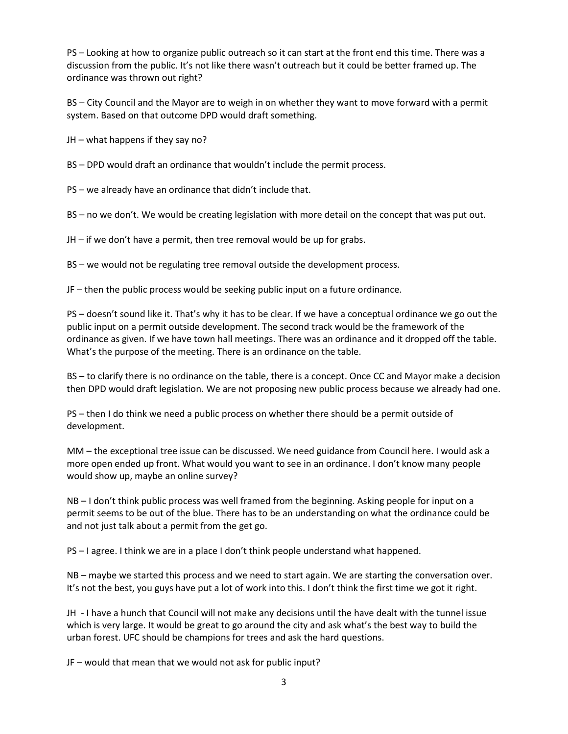PS – Looking at how to organize public outreach so it can start at the front end this time. There was a discussion from the public. It's not like there wasn't outreach but it could be better framed up. The ordinance was thrown out right?

BS – City Council and the Mayor are to weigh in on whether they want to move forward with a permit system. Based on that outcome DPD would draft something.

JH – what happens if they say no?

BS – DPD would draft an ordinance that wouldn't include the permit process.

PS – we already have an ordinance that didn't include that.

BS – no we don't. We would be creating legislation with more detail on the concept that was put out.

JH – if we don't have a permit, then tree removal would be up for grabs.

BS – we would not be regulating tree removal outside the development process.

JF – then the public process would be seeking public input on a future ordinance.

PS – doesn't sound like it. That's why it has to be clear. If we have a conceptual ordinance we go out the public input on a permit outside development. The second track would be the framework of the ordinance as given. If we have town hall meetings. There was an ordinance and it dropped off the table. What's the purpose of the meeting. There is an ordinance on the table.

BS – to clarify there is no ordinance on the table, there is a concept. Once CC and Mayor make a decision then DPD would draft legislation. We are not proposing new public process because we already had one.

PS – then I do think we need a public process on whether there should be a permit outside of development.

MM – the exceptional tree issue can be discussed. We need guidance from Council here. I would ask a more open ended up front. What would you want to see in an ordinance. I don't know many people would show up, maybe an online survey?

NB – I don't think public process was well framed from the beginning. Asking people for input on a permit seems to be out of the blue. There has to be an understanding on what the ordinance could be and not just talk about a permit from the get go.

PS – I agree. I think we are in a place I don't think people understand what happened.

NB – maybe we started this process and we need to start again. We are starting the conversation over. It's not the best, you guys have put a lot of work into this. I don't think the first time we got it right.

JH - I have a hunch that Council will not make any decisions until the have dealt with the tunnel issue which is very large. It would be great to go around the city and ask what's the best way to build the urban forest. UFC should be champions for trees and ask the hard questions.

JF – would that mean that we would not ask for public input?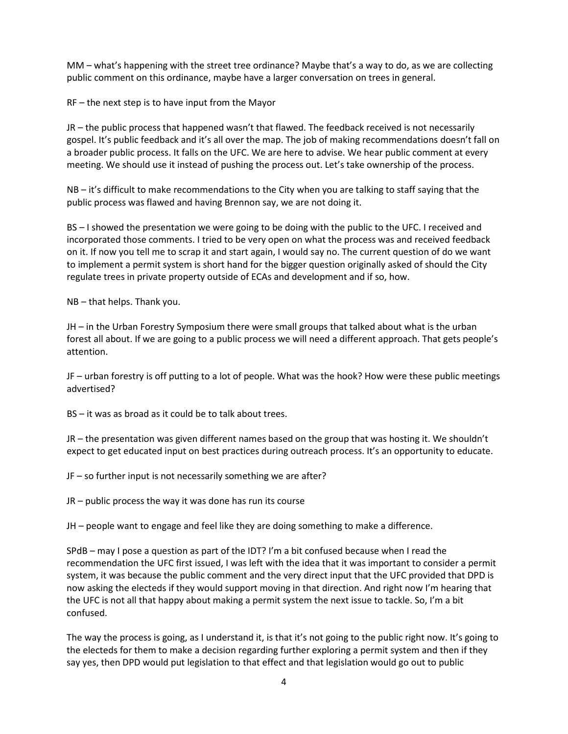MM – what's happening with the street tree ordinance? Maybe that's a way to do, as we are collecting public comment on this ordinance, maybe have a larger conversation on trees in general.

RF – the next step is to have input from the Mayor

JR – the public process that happened wasn't that flawed. The feedback received is not necessarily gospel. It's public feedback and it's all over the map. The job of making recommendations doesn't fall on a broader public process. It falls on the UFC. We are here to advise. We hear public comment at every meeting. We should use it instead of pushing the process out. Let's take ownership of the process.

NB – it's difficult to make recommendations to the City when you are talking to staff saying that the public process was flawed and having Brennon say, we are not doing it.

BS – I showed the presentation we were going to be doing with the public to the UFC. I received and incorporated those comments. I tried to be very open on what the process was and received feedback on it. If now you tell me to scrap it and start again, I would say no. The current question of do we want to implement a permit system is short hand for the bigger question originally asked of should the City regulate trees in private property outside of ECAs and development and if so, how.

NB – that helps. Thank you.

JH – in the Urban Forestry Symposium there were small groups that talked about what is the urban forest all about. If we are going to a public process we will need a different approach. That gets people's attention.

JF – urban forestry is off putting to a lot of people. What was the hook? How were these public meetings advertised?

BS – it was as broad as it could be to talk about trees.

JR – the presentation was given different names based on the group that was hosting it. We shouldn't expect to get educated input on best practices during outreach process. It's an opportunity to educate.

JF – so further input is not necessarily something we are after?

JR – public process the way it was done has run its course

JH – people want to engage and feel like they are doing something to make a difference.

SPdB – may I pose a question as part of the IDT? I'm a bit confused because when I read the recommendation the UFC first issued, I was left with the idea that it was important to consider a permit system, it was because the public comment and the very direct input that the UFC provided that DPD is now asking the electeds if they would support moving in that direction. And right now I'm hearing that the UFC is not all that happy about making a permit system the next issue to tackle. So, I'm a bit confused.

The way the process is going, as I understand it, is that it's not going to the public right now. It's going to the electeds for them to make a decision regarding further exploring a permit system and then if they say yes, then DPD would put legislation to that effect and that legislation would go out to public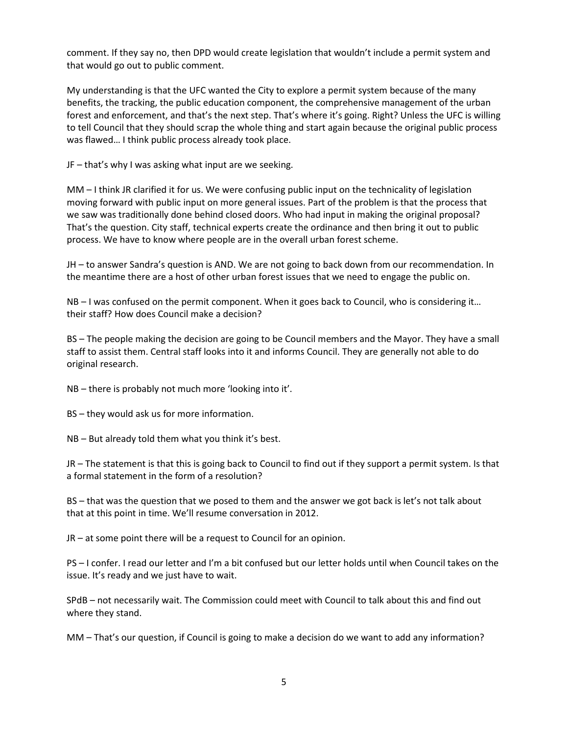comment. If they say no, then DPD would create legislation that wouldn't include a permit system and that would go out to public comment.

My understanding is that the UFC wanted the City to explore a permit system because of the many benefits, the tracking, the public education component, the comprehensive management of the urban forest and enforcement, and that's the next step. That's where it's going. Right? Unless the UFC is willing to tell Council that they should scrap the whole thing and start again because the original public process was flawed… I think public process already took place.

JF – that's why I was asking what input are we seeking.

MM – I think JR clarified it for us. We were confusing public input on the technicality of legislation moving forward with public input on more general issues. Part of the problem is that the process that we saw was traditionally done behind closed doors. Who had input in making the original proposal? That's the question. City staff, technical experts create the ordinance and then bring it out to public process. We have to know where people are in the overall urban forest scheme.

JH – to answer Sandra's question is AND. We are not going to back down from our recommendation. In the meantime there are a host of other urban forest issues that we need to engage the public on.

NB – I was confused on the permit component. When it goes back to Council, who is considering it… their staff? How does Council make a decision?

BS – The people making the decision are going to be Council members and the Mayor. They have a small staff to assist them. Central staff looks into it and informs Council. They are generally not able to do original research.

NB – there is probably not much more 'looking into it'.

BS – they would ask us for more information.

NB – But already told them what you think it's best.

JR – The statement is that this is going back to Council to find out if they support a permit system. Is that a formal statement in the form of a resolution?

BS – that was the question that we posed to them and the answer we got back is let's not talk about that at this point in time. We'll resume conversation in 2012.

JR – at some point there will be a request to Council for an opinion.

PS – I confer. I read our letter and I'm a bit confused but our letter holds until when Council takes on the issue. It's ready and we just have to wait.

SPdB – not necessarily wait. The Commission could meet with Council to talk about this and find out where they stand.

MM – That's our question, if Council is going to make a decision do we want to add any information?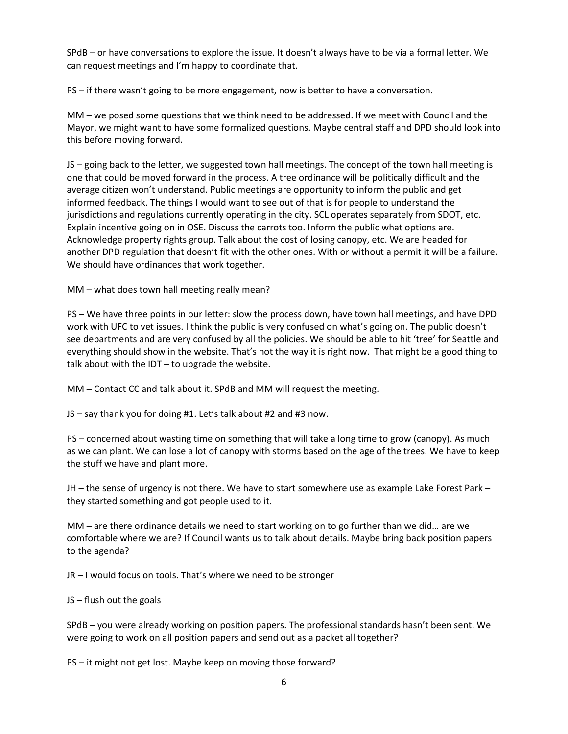SPdB – or have conversations to explore the issue. It doesn't always have to be via a formal letter. We can request meetings and I'm happy to coordinate that.

PS – if there wasn't going to be more engagement, now is better to have a conversation.

MM – we posed some questions that we think need to be addressed. If we meet with Council and the Mayor, we might want to have some formalized questions. Maybe central staff and DPD should look into this before moving forward.

JS – going back to the letter, we suggested town hall meetings. The concept of the town hall meeting is one that could be moved forward in the process. A tree ordinance will be politically difficult and the average citizen won't understand. Public meetings are opportunity to inform the public and get informed feedback. The things I would want to see out of that is for people to understand the jurisdictions and regulations currently operating in the city. SCL operates separately from SDOT, etc. Explain incentive going on in OSE. Discuss the carrots too. Inform the public what options are. Acknowledge property rights group. Talk about the cost of losing canopy, etc. We are headed for another DPD regulation that doesn't fit with the other ones. With or without a permit it will be a failure. We should have ordinances that work together.

MM – what does town hall meeting really mean?

PS – We have three points in our letter: slow the process down, have town hall meetings, and have DPD work with UFC to vet issues. I think the public is very confused on what's going on. The public doesn't see departments and are very confused by all the policies. We should be able to hit 'tree' for Seattle and everything should show in the website. That's not the way it is right now. That might be a good thing to talk about with the IDT – to upgrade the website.

MM – Contact CC and talk about it. SPdB and MM will request the meeting.

JS – say thank you for doing #1. Let's talk about #2 and #3 now.

PS – concerned about wasting time on something that will take a long time to grow (canopy). As much as we can plant. We can lose a lot of canopy with storms based on the age of the trees. We have to keep the stuff we have and plant more.

JH – the sense of urgency is not there. We have to start somewhere use as example Lake Forest Park – they started something and got people used to it.

MM – are there ordinance details we need to start working on to go further than we did… are we comfortable where we are? If Council wants us to talk about details. Maybe bring back position papers to the agenda?

JR – I would focus on tools. That's where we need to be stronger

JS – flush out the goals

SPdB – you were already working on position papers. The professional standards hasn't been sent. We were going to work on all position papers and send out as a packet all together?

PS – it might not get lost. Maybe keep on moving those forward?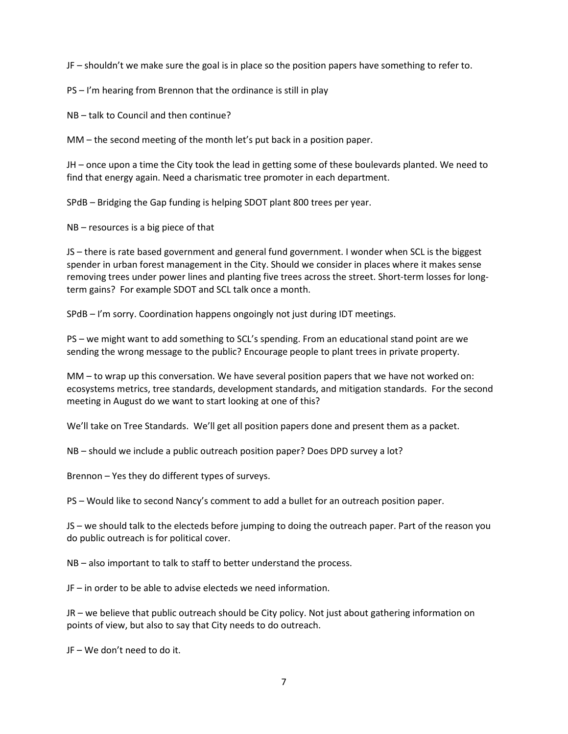JF – shouldn't we make sure the goal is in place so the position papers have something to refer to.

PS – I'm hearing from Brennon that the ordinance is still in play

NB – talk to Council and then continue?

MM – the second meeting of the month let's put back in a position paper.

JH – once upon a time the City took the lead in getting some of these boulevards planted. We need to find that energy again. Need a charismatic tree promoter in each department.

SPdB – Bridging the Gap funding is helping SDOT plant 800 trees per year.

NB – resources is a big piece of that

JS – there is rate based government and general fund government. I wonder when SCL is the biggest spender in urban forest management in the City. Should we consider in places where it makes sense removing trees under power lines and planting five trees across the street. Short-term losses for longterm gains? For example SDOT and SCL talk once a month.

SPdB – I'm sorry. Coordination happens ongoingly not just during IDT meetings.

PS – we might want to add something to SCL's spending. From an educational stand point are we sending the wrong message to the public? Encourage people to plant trees in private property.

MM – to wrap up this conversation. We have several position papers that we have not worked on: ecosystems metrics, tree standards, development standards, and mitigation standards. For the second meeting in August do we want to start looking at one of this?

We'll take on Tree Standards. We'll get all position papers done and present them as a packet.

NB – should we include a public outreach position paper? Does DPD survey a lot?

Brennon – Yes they do different types of surveys.

PS – Would like to second Nancy's comment to add a bullet for an outreach position paper.

JS – we should talk to the electeds before jumping to doing the outreach paper. Part of the reason you do public outreach is for political cover.

NB – also important to talk to staff to better understand the process.

JF – in order to be able to advise electeds we need information.

JR – we believe that public outreach should be City policy. Not just about gathering information on points of view, but also to say that City needs to do outreach.

JF – We don't need to do it.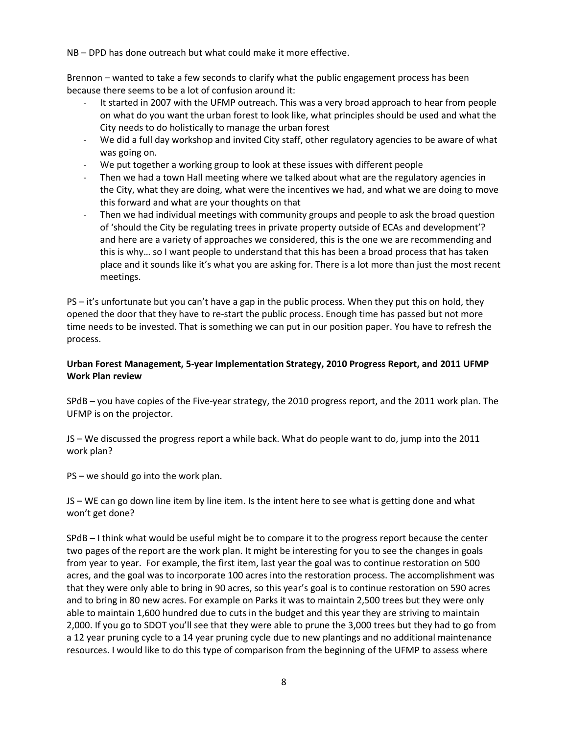NB – DPD has done outreach but what could make it more effective.

Brennon – wanted to take a few seconds to clarify what the public engagement process has been because there seems to be a lot of confusion around it:

- It started in 2007 with the UFMP outreach. This was a very broad approach to hear from people on what do you want the urban forest to look like, what principles should be used and what the City needs to do holistically to manage the urban forest
- We did a full day workshop and invited City staff, other regulatory agencies to be aware of what was going on.
- We put together a working group to look at these issues with different people
- Then we had a town Hall meeting where we talked about what are the regulatory agencies in the City, what they are doing, what were the incentives we had, and what we are doing to move this forward and what are your thoughts on that
- Then we had individual meetings with community groups and people to ask the broad question of 'should the City be regulating trees in private property outside of ECAs and development'? and here are a variety of approaches we considered, this is the one we are recommending and this is why… so I want people to understand that this has been a broad process that has taken place and it sounds like it's what you are asking for. There is a lot more than just the most recent meetings.

PS – it's unfortunate but you can't have a gap in the public process. When they put this on hold, they opened the door that they have to re-start the public process. Enough time has passed but not more time needs to be invested. That is something we can put in our position paper. You have to refresh the process.

## **Urban Forest Management, 5-year Implementation Strategy, 2010 Progress Report, and 2011 UFMP Work Plan review**

SPdB – you have copies of the Five-year strategy, the 2010 progress report, and the 2011 work plan. The UFMP is on the projector.

JS – We discussed the progress report a while back. What do people want to do, jump into the 2011 work plan?

PS – we should go into the work plan.

JS – WE can go down line item by line item. Is the intent here to see what is getting done and what won't get done?

SPdB – I think what would be useful might be to compare it to the progress report because the center two pages of the report are the work plan. It might be interesting for you to see the changes in goals from year to year. For example, the first item, last year the goal was to continue restoration on 500 acres, and the goal was to incorporate 100 acres into the restoration process. The accomplishment was that they were only able to bring in 90 acres, so this year's goal is to continue restoration on 590 acres and to bring in 80 new acres. For example on Parks it was to maintain 2,500 trees but they were only able to maintain 1,600 hundred due to cuts in the budget and this year they are striving to maintain 2,000. If you go to SDOT you'll see that they were able to prune the 3,000 trees but they had to go from a 12 year pruning cycle to a 14 year pruning cycle due to new plantings and no additional maintenance resources. I would like to do this type of comparison from the beginning of the UFMP to assess where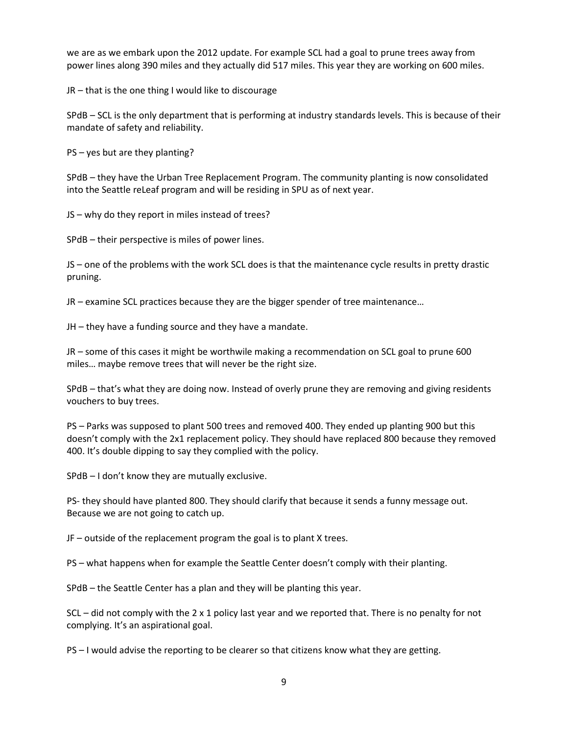we are as we embark upon the 2012 update. For example SCL had a goal to prune trees away from power lines along 390 miles and they actually did 517 miles. This year they are working on 600 miles.

JR – that is the one thing I would like to discourage

SPdB – SCL is the only department that is performing at industry standards levels. This is because of their mandate of safety and reliability.

PS – yes but are they planting?

SPdB – they have the Urban Tree Replacement Program. The community planting is now consolidated into the Seattle reLeaf program and will be residing in SPU as of next year.

JS – why do they report in miles instead of trees?

SPdB – their perspective is miles of power lines.

JS – one of the problems with the work SCL does is that the maintenance cycle results in pretty drastic pruning.

JR – examine SCL practices because they are the bigger spender of tree maintenance…

JH – they have a funding source and they have a mandate.

JR – some of this cases it might be worthwile making a recommendation on SCL goal to prune 600 miles… maybe remove trees that will never be the right size.

SPdB – that's what they are doing now. Instead of overly prune they are removing and giving residents vouchers to buy trees.

PS – Parks was supposed to plant 500 trees and removed 400. They ended up planting 900 but this doesn't comply with the 2x1 replacement policy. They should have replaced 800 because they removed 400. It's double dipping to say they complied with the policy.

SPdB – I don't know they are mutually exclusive.

PS- they should have planted 800. They should clarify that because it sends a funny message out. Because we are not going to catch up.

JF – outside of the replacement program the goal is to plant X trees.

PS – what happens when for example the Seattle Center doesn't comply with their planting.

SPdB – the Seattle Center has a plan and they will be planting this year.

SCL – did not comply with the 2 x 1 policy last year and we reported that. There is no penalty for not complying. It's an aspirational goal.

PS – I would advise the reporting to be clearer so that citizens know what they are getting.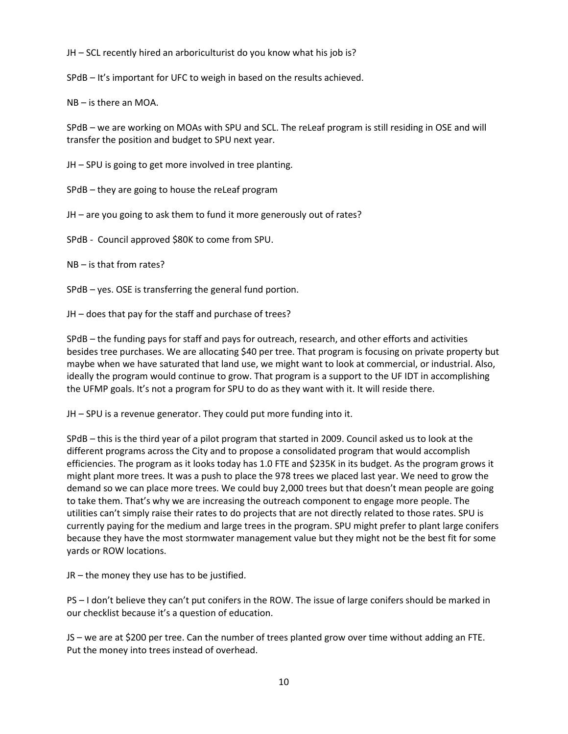JH – SCL recently hired an arboriculturist do you know what his job is?

SPdB – It's important for UFC to weigh in based on the results achieved.

NB – is there an MOA.

SPdB – we are working on MOAs with SPU and SCL. The reLeaf program is still residing in OSE and will transfer the position and budget to SPU next year.

JH – SPU is going to get more involved in tree planting.

SPdB – they are going to house the reLeaf program

JH – are you going to ask them to fund it more generously out of rates?

SPdB - Council approved \$80K to come from SPU.

NB – is that from rates?

SPdB – yes. OSE is transferring the general fund portion.

JH – does that pay for the staff and purchase of trees?

SPdB – the funding pays for staff and pays for outreach, research, and other efforts and activities besides tree purchases. We are allocating \$40 per tree. That program is focusing on private property but maybe when we have saturated that land use, we might want to look at commercial, or industrial. Also, ideally the program would continue to grow. That program is a support to the UF IDT in accomplishing the UFMP goals. It's not a program for SPU to do as they want with it. It will reside there.

JH – SPU is a revenue generator. They could put more funding into it.

SPdB – this is the third year of a pilot program that started in 2009. Council asked us to look at the different programs across the City and to propose a consolidated program that would accomplish efficiencies. The program as it looks today has 1.0 FTE and \$235K in its budget. As the program grows it might plant more trees. It was a push to place the 978 trees we placed last year. We need to grow the demand so we can place more trees. We could buy 2,000 trees but that doesn't mean people are going to take them. That's why we are increasing the outreach component to engage more people. The utilities can't simply raise their rates to do projects that are not directly related to those rates. SPU is currently paying for the medium and large trees in the program. SPU might prefer to plant large conifers because they have the most stormwater management value but they might not be the best fit for some yards or ROW locations.

JR – the money they use has to be justified.

PS – I don't believe they can't put conifers in the ROW. The issue of large conifers should be marked in our checklist because it's a question of education.

JS – we are at \$200 per tree. Can the number of trees planted grow over time without adding an FTE. Put the money into trees instead of overhead.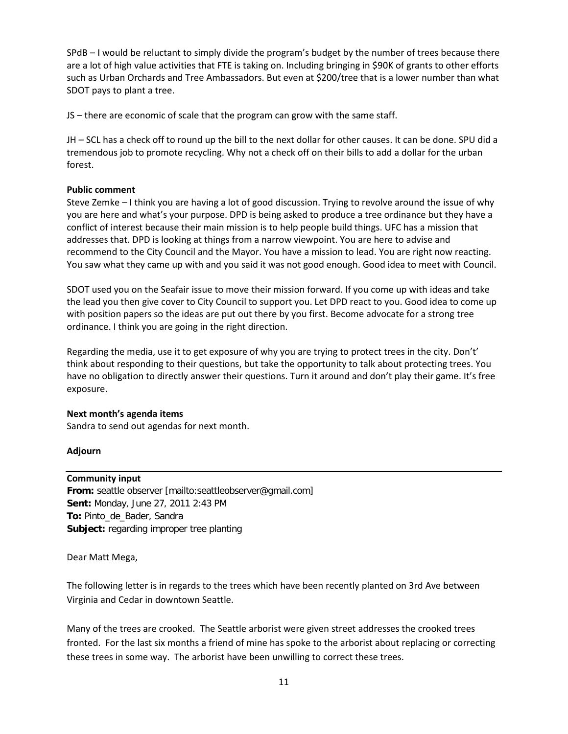SPdB – I would be reluctant to simply divide the program's budget by the number of trees because there are a lot of high value activities that FTE is taking on. Including bringing in \$90K of grants to other efforts such as Urban Orchards and Tree Ambassadors. But even at \$200/tree that is a lower number than what SDOT pays to plant a tree.

JS – there are economic of scale that the program can grow with the same staff.

JH – SCL has a check off to round up the bill to the next dollar for other causes. It can be done. SPU did a tremendous job to promote recycling. Why not a check off on their bills to add a dollar for the urban forest.

### **Public comment**

Steve Zemke – I think you are having a lot of good discussion. Trying to revolve around the issue of why you are here and what's your purpose. DPD is being asked to produce a tree ordinance but they have a conflict of interest because their main mission is to help people build things. UFC has a mission that addresses that. DPD is looking at things from a narrow viewpoint. You are here to advise and recommend to the City Council and the Mayor. You have a mission to lead. You are right now reacting. You saw what they came up with and you said it was not good enough. Good idea to meet with Council.

SDOT used you on the Seafair issue to move their mission forward. If you come up with ideas and take the lead you then give cover to City Council to support you. Let DPD react to you. Good idea to come up with position papers so the ideas are put out there by you first. Become advocate for a strong tree ordinance. I think you are going in the right direction.

Regarding the media, use it to get exposure of why you are trying to protect trees in the city. Don't' think about responding to their questions, but take the opportunity to talk about protecting trees. You have no obligation to directly answer their questions. Turn it around and don't play their game. It's free exposure.

#### **Next month's agenda items**

Sandra to send out agendas for next month.

### **Adjourn**

### **Community input**

**From:** seattle observer [mailto:seattleobserver@gmail.com] **Sent:** Monday, June 27, 2011 2:43 PM **To:** Pinto\_de\_Bader, Sandra **Subject:** regarding improper tree planting

Dear Matt Mega,

The following letter is in regards to the trees which have been recently planted on 3rd Ave between Virginia and Cedar in downtown Seattle.

Many of the trees are crooked. The Seattle arborist were given street addresses the crooked trees fronted. For the last six months a friend of mine has spoke to the arborist about replacing or correcting these trees in some way. The arborist have been unwilling to correct these trees.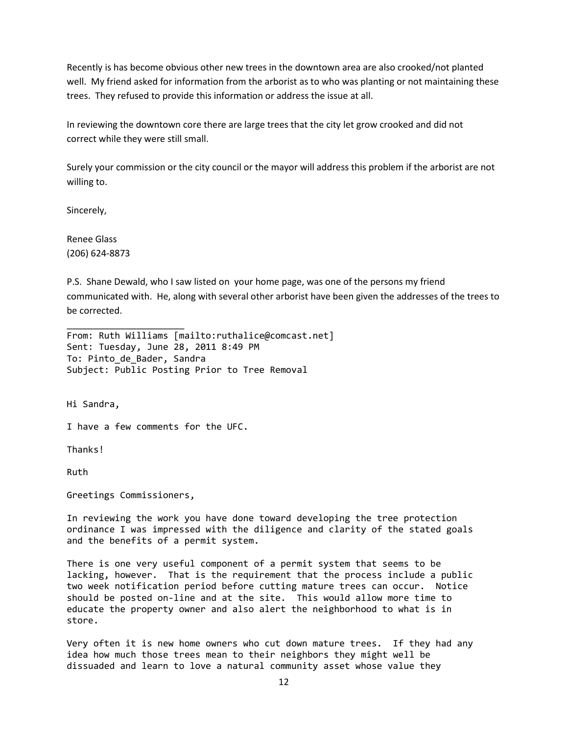Recently is has become obvious other new trees in the downtown area are also crooked/not planted well. My friend asked for information from the arborist as to who was planting or not maintaining these trees. They refused to provide this information or address the issue at all.

In reviewing the downtown core there are large trees that the city let grow crooked and did not correct while they were still small.

Surely your commission or the city council or the mayor will address this problem if the arborist are not willing to.

Sincerely,

Renee Glass (206) 624-8873

P.S. Shane Dewald, who I saw listed on your home page, was one of the persons my friend communicated with. He, along with several other arborist have been given the addresses of the trees to be corrected.

From: Ruth Williams [mailto:ruthalice@comcast.net] Sent: Tuesday, June 28, 2011 8:49 PM To: Pinto de Bader, Sandra Subject: Public Posting Prior to Tree Removal

Hi Sandra,

I have a few comments for the UFC.

Thanks!

Ruth

Greetings Commissioners,

\_\_\_\_\_\_\_\_\_\_\_\_\_\_\_\_\_\_\_\_\_\_

In reviewing the work you have done toward developing the tree protection ordinance I was impressed with the diligence and clarity of the stated goals and the benefits of a permit system.

There is one very useful component of a permit system that seems to be lacking, however. That is the requirement that the process include a public two week notification period before cutting mature trees can occur. Notice should be posted on-line and at the site. This would allow more time to educate the property owner and also alert the neighborhood to what is in store.

Very often it is new home owners who cut down mature trees. If they had any idea how much those trees mean to their neighbors they might well be dissuaded and learn to love a natural community asset whose value they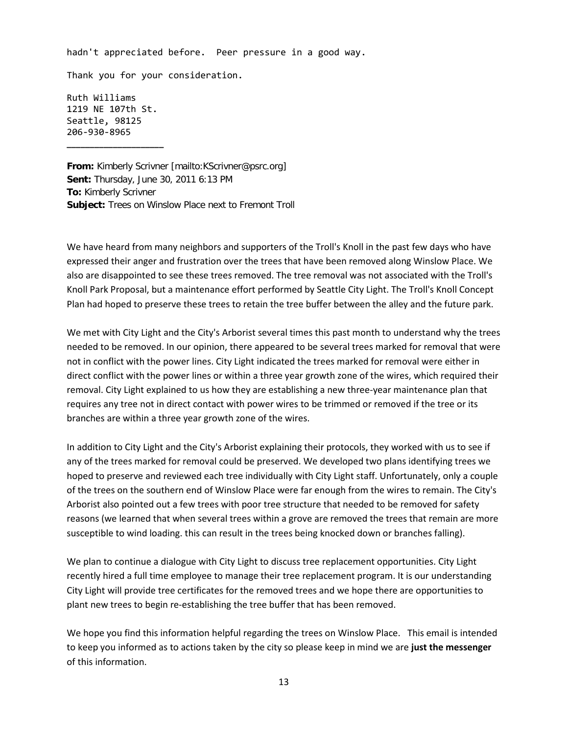hadn't appreciated before. Peer pressure in a good way.

Thank you for your consideration.

Ruth Williams 1219 NE 107th St. Seattle, 98125 206-930-8965

**\_\_\_\_\_\_\_\_\_\_\_\_\_\_\_\_\_\_\_\_\_**

**From:** Kimberly Scrivner [mailto:KScrivner@psrc.org] **Sent:** Thursday, June 30, 2011 6:13 PM **To:** Kimberly Scrivner **Subject:** Trees on Winslow Place next to Fremont Troll

We have heard from many neighbors and supporters of the Troll's Knoll in the past few days who have expressed their anger and frustration over the trees that have been removed along Winslow Place. We also are disappointed to see these trees removed. The tree removal was not associated with the Troll's Knoll Park Proposal, but a maintenance effort performed by Seattle City Light. The Troll's Knoll Concept Plan had hoped to preserve these trees to retain the tree buffer between the alley and the future park.

We met with City Light and the City's Arborist several times this past month to understand why the trees needed to be removed. In our opinion, there appeared to be several trees marked for removal that were not in conflict with the power lines. City Light indicated the trees marked for removal were either in direct conflict with the power lines or within a three year growth zone of the wires, which required their removal. City Light explained to us how they are establishing a new three-year maintenance plan that requires any tree not in direct contact with power wires to be trimmed or removed if the tree or its branches are within a three year growth zone of the wires.

In addition to City Light and the City's Arborist explaining their protocols, they worked with us to see if any of the trees marked for removal could be preserved. We developed two plans identifying trees we hoped to preserve and reviewed each tree individually with City Light staff. Unfortunately, only a couple of the trees on the southern end of Winslow Place were far enough from the wires to remain. The City's Arborist also pointed out a few trees with poor tree structure that needed to be removed for safety reasons (we learned that when several trees within a grove are removed the trees that remain are more susceptible to wind loading. this can result in the trees being knocked down or branches falling).

We plan to continue a dialogue with City Light to discuss tree replacement opportunities. City Light recently hired a full time employee to manage their tree replacement program. It is our understanding City Light will provide tree certificates for the removed trees and we hope there are opportunities to plant new trees to begin re-establishing the tree buffer that has been removed.

We hope you find this information helpful regarding the trees on Winslow Place. This email is intended to keep you informed as to actions taken by the city so please keep in mind we are **just the messenger** of this information.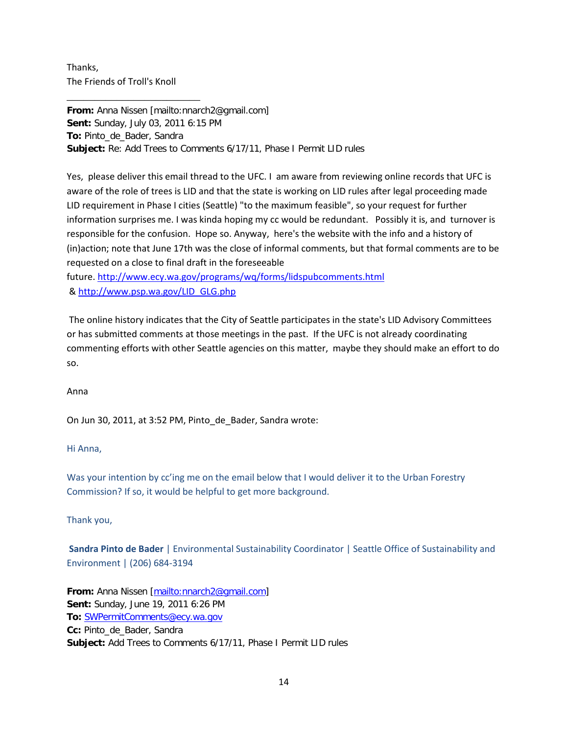Thanks, The Friends of Troll's Knoll

\_\_\_\_\_\_\_\_\_\_\_\_\_\_\_\_\_\_\_\_\_\_\_\_

**From:** Anna Nissen [mailto:nnarch2@gmail.com] **Sent:** Sunday, July 03, 2011 6:15 PM **To:** Pinto\_de\_Bader, Sandra **Subject:** Re: Add Trees to Comments 6/17/11, Phase I Permit LID rules

Yes, please deliver this email thread to the UFC. I am aware from reviewing online records that UFC is aware of the role of trees is LID and that the state is working on LID rules after legal proceeding made LID requirement in Phase I cities (Seattle) "to the maximum feasible", so your request for further information surprises me. I was kinda hoping my cc would be redundant. Possibly it is, and turnover is responsible for the confusion. Hope so. Anyway, here's the website with the info and a history of (in)action; note that June 17th was the close of informal comments, but that formal comments are to be requested on a close to final draft in the foreseeable

future. <http://www.ecy.wa.gov/programs/wq/forms/lidspubcomments.html> & [http://www.psp.wa.gov/LID\\_GLG.php](http://www.psp.wa.gov/LID_GLG.php)

The online history indicates that the City of Seattle participates in the state's LID Advisory Committees or has submitted comments at those meetings in the past. If the UFC is not already coordinating commenting efforts with other Seattle agencies on this matter, maybe they should make an effort to do so.

Anna

On Jun 30, 2011, at 3:52 PM, Pinto\_de\_Bader, Sandra wrote:

Hi Anna,

Was your intention by cc'ing me on the email below that I would deliver it to the Urban Forestry Commission? If so, it would be helpful to get more background.

Thank you,

**Sandra Pinto de Bader** | Environmental Sustainability Coordinator | Seattle Office of Sustainability and Environment | (206) 684-3194

**From:** Anna Nissen [\[mailto:nnarch2@gmail.com\]](mailto:nnarch2@gmail.com) **Sent:** Sunday, June 19, 2011 6:26 PM **To:** [SWPermitComments@ecy.wa.gov](mailto:SWPermitComments@ecy.wa.gov) **Cc:** Pinto\_de\_Bader, Sandra **Subject:** Add Trees to Comments 6/17/11, Phase I Permit LID rules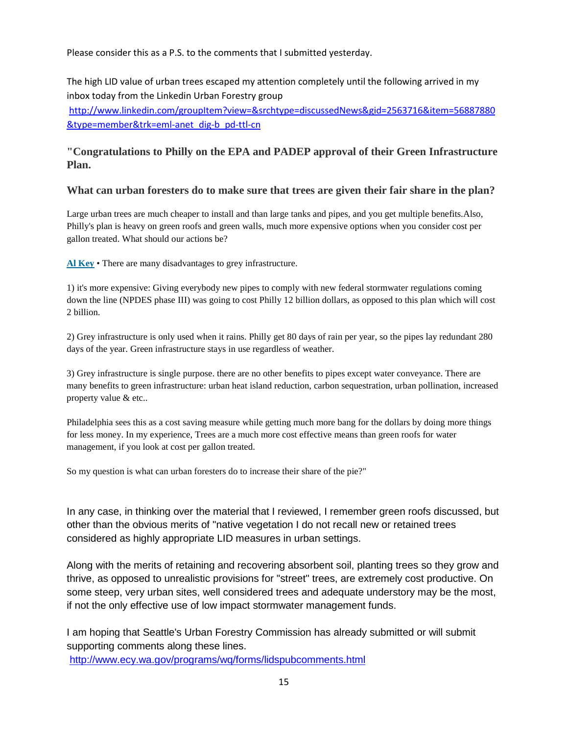Please consider this as a P.S. to the comments that I submitted yesterday.

The high LID value of urban trees escaped my attention completely until the following arrived in my inbox today from the Linkedin Urban Forestry group [http://www.linkedin.com/groupItem?view=&srchtype=discussedNews&gid=2563716&item=56887880](http://www.linkedin.com/groupItem?view=&srchtype=discussedNews&gid=2563716&item=56887880&type=member&trk=eml-anet_dig-b_pd-ttl-cn) [&type=member&trk=eml-anet\\_dig-b\\_pd-ttl-cn](http://www.linkedin.com/groupItem?view=&srchtype=discussedNews&gid=2563716&item=56887880&type=member&trk=eml-anet_dig-b_pd-ttl-cn)

# **"Congratulations to Philly on the EPA and PADEP approval of their Green Infrastructure Plan.**

## **What can urban foresters do to make sure that trees are given their fair share in the plan?**

Large urban trees are much cheaper to install and than large tanks and pipes, and you get multiple benefits.Also, Philly's plan is heavy on green roofs and green walls, much more expensive options when you consider cost per gallon treated. What should our actions be?

**Al [Key](http://www.linkedin.com/groups?viewMemberFeed=&gid=2563716&memberID=24403672)** • There are many disadvantages to grey infrastructure.

1) it's more expensive: Giving everybody new pipes to comply with new federal stormwater regulations coming down the line (NPDES phase III) was going to cost Philly 12 billion dollars, as opposed to this plan which will cost 2 billion.

2) Grey infrastructure is only used when it rains. Philly get 80 days of rain per year, so the pipes lay redundant 280 days of the year. Green infrastructure stays in use regardless of weather.

3) Grey infrastructure is single purpose. there are no other benefits to pipes except water conveyance. There are many benefits to green infrastructure: urban heat island reduction, carbon sequestration, urban pollination, increased property value & etc..

Philadelphia sees this as a cost saving measure while getting much more bang for the dollars by doing more things for less money. In my experience, Trees are a much more cost effective means than green roofs for water management, if you look at cost per gallon treated.

So my question is what can urban foresters do to increase their share of the pie?"

In any case, in thinking over the material that I reviewed, I remember green roofs discussed, but other than the obvious merits of "native vegetation I do not recall new or retained trees considered as highly appropriate LID measures in urban settings.

Along with the merits of retaining and recovering absorbent soil, planting trees so they grow and thrive, as opposed to unrealistic provisions for "street" trees, are extremely cost productive. On some steep, very urban sites, well considered trees and adequate understory may be the most, if not the only effective use of low impact stormwater management funds.

I am hoping that Seattle's Urban Forestry Commission has already submitted or will submit supporting comments along these lines. <http://www.ecy.wa.gov/programs/wq/forms/lidspubcomments.html>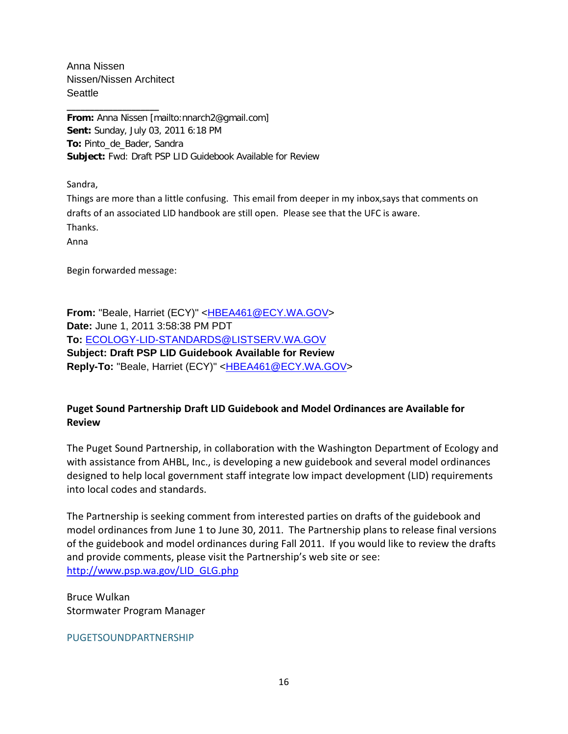Anna Nissen Nissen/Nissen Architect Seattle

**\_\_\_\_\_\_\_\_\_\_\_\_\_\_\_\_\_\_\_\_ From:** Anna Nissen [mailto:nnarch2@gmail.com] **Sent:** Sunday, July 03, 2011 6:18 PM **To:** Pinto\_de\_Bader, Sandra **Subject:** Fwd: Draft PSP LID Guidebook Available for Review

Sandra,

Things are more than a little confusing. This email from deeper in my inbox,says that comments on drafts of an associated LID handbook are still open. Please see that the UFC is aware. Thanks.

Anna

Begin forwarded message:

From: "Beale, Harriet (ECY)" [<HBEA461@ECY.WA.GOV>](mailto:HBEA461@ECY.WA.GOV) **Date:** June 1, 2011 3:58:38 PM PDT **To:** [ECOLOGY-LID-STANDARDS@LISTSERV.WA.GOV](mailto:ECOLOGY-LID-STANDARDS@LISTSERV.WA.GOV) **Subject: Draft PSP LID Guidebook Available for Review** Reply-To: "Beale, Harriet (ECY)" <**HBEA461@ECY.WA.GOV>** 

# **Puget Sound Partnership Draft LID Guidebook and Model Ordinances are Available for Review**

The Puget Sound Partnership, in collaboration with the Washington Department of Ecology and with assistance from AHBL, Inc., is developing a new guidebook and several model ordinances designed to help local government staff integrate low impact development (LID) requirements into local codes and standards.

The Partnership is seeking comment from interested parties on drafts of the guidebook and model ordinances from June 1 to June 30, 2011. The Partnership plans to release final versions of the guidebook and model ordinances during Fall 2011. If you would like to review the drafts and provide comments, please visit the Partnership's web site or see: [http://www.psp.wa.gov/LID\\_GLG.php](http://www.psp.wa.gov/LID_GLG.php)

Bruce Wulkan Stormwater Program Manager

PUGETSOUNDPARTNERSHIP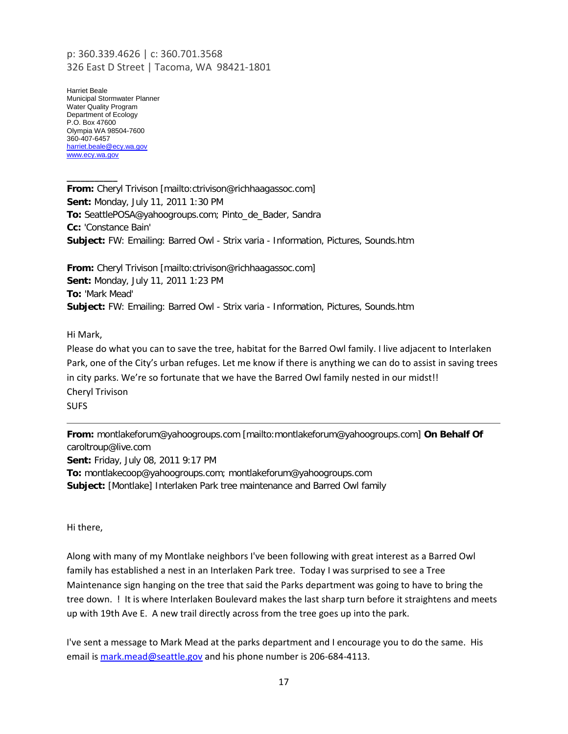## p: 360.339.4626 | c: 360.701.3568 326 East D Street | Tacoma, WA 98421-1801

Harriet Beale Municipal Stormwater Planner Water Quality Program Department of Ecology P.O. Box 47600 Olympia WA 98504-7600 360-407-6457 [harriet.beale@ecy.wa.gov](mailto:harriet.beale@ecy.wa.gov) [www.ecy.wa.gov](http://www.ecy.wa.gov/)

**\_\_\_\_\_\_\_\_\_\_\_**

**From:** Cheryl Trivison [mailto:ctrivison@richhaagassoc.com] **Sent:** Monday, July 11, 2011 1:30 PM **To:** SeattlePOSA@yahoogroups.com; Pinto\_de\_Bader, Sandra **Cc:** 'Constance Bain' **Subject:** FW: Emailing: Barred Owl - Strix varia - Information, Pictures, Sounds.htm

**From:** Cheryl Trivison [mailto:ctrivison@richhaagassoc.com] **Sent:** Monday, July 11, 2011 1:23 PM **To:** 'Mark Mead' **Subject:** FW: Emailing: Barred Owl - Strix varia - Information, Pictures, Sounds.htm

Hi Mark,

Please do what you can to save the tree, habitat for the Barred Owl family. I live adjacent to Interlaken Park, one of the City's urban refuges. Let me know if there is anything we can do to assist in saving trees in city parks. We're so fortunate that we have the Barred Owl family nested in our midst!! Cheryl Trivison SUFS

**From:** montlakeforum@yahoogroups.com [mailto:montlakeforum@yahoogroups.com] **On Behalf Of**  caroltroup@live.com **Sent:** Friday, July 08, 2011 9:17 PM **To:** montlakecoop@yahoogroups.com; montlakeforum@yahoogroups.com **Subject:** [Montlake] Interlaken Park tree maintenance and Barred Owl family

Hi there,

Along with many of my Montlake neighbors I've been following with great interest as a Barred Owl family has established a nest in an Interlaken Park tree. Today I was surprised to see a Tree Maintenance sign hanging on the tree that said the Parks department was going to have to bring the tree down. ! It is where Interlaken Boulevard makes the last sharp turn before it straightens and meets up with 19th Ave E. A new trail directly across from the tree goes up into the park.

I've sent a message to Mark Mead at the parks department and I encourage you to do the same. His email is [mark.mead@seattle.gov](mailto:mark.mead@seattle.gov) and his phone number is 206-684-4113.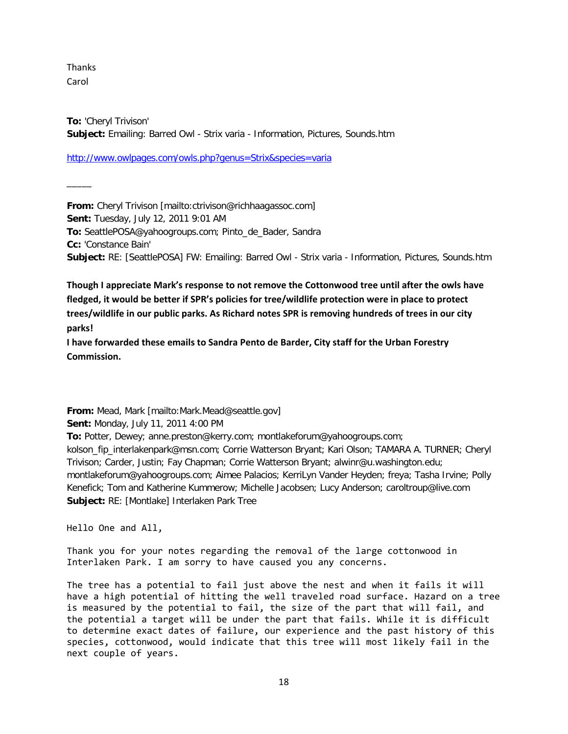Thanks Carol

 $\overline{\phantom{a}}$ 

**To:** 'Cheryl Trivison' **Subject:** Emailing: Barred Owl - Strix varia - Information, Pictures, Sounds.htm

<http://www.owlpages.com/owls.php?genus=Strix&species=varia>

**From:** Cheryl Trivison [mailto:ctrivison@richhaagassoc.com] **Sent:** Tuesday, July 12, 2011 9:01 AM **To:** SeattlePOSA@yahoogroups.com; Pinto\_de\_Bader, Sandra **Cc:** 'Constance Bain' **Subject:** RE: [SeattlePOSA] FW: Emailing: Barred Owl - Strix varia - Information, Pictures, Sounds.htm

**Though I appreciate Mark's response to not remove the Cottonwood tree until after the owls have fledged, it would be better if SPR's policies for tree/wildlife protection were in place to protect trees/wildlife in our public parks. As Richard notes SPR is removing hundreds of trees in our city parks!**

**I have forwarded these emails to Sandra Pento de Barder, City staff for the Urban Forestry Commission.**

**From:** Mead, Mark [mailto:Mark.Mead@seattle.gov] **Sent:** Monday, July 11, 2011 4:00 PM **To:** Potter, Dewey; anne.preston@kerry.com; montlakeforum@yahoogroups.com; kolson\_fip\_interlakenpark@msn.com; Corrie Watterson Bryant; Kari Olson; TAMARA A. TURNER; Cheryl Trivison; Carder, Justin; Fay Chapman; Corrie Watterson Bryant; alwinr@u.washington.edu; montlakeforum@yahoogroups.com; Aimee Palacios; KerriLyn Vander Heyden; freya; Tasha Irvine; Polly Kenefick; Tom and Katherine Kummerow; Michelle Jacobsen; Lucy Anderson; caroltroup@live.com **Subject:** RE: [Montlake] Interlaken Park Tree

Hello One and All,

Thank you for your notes regarding the removal of the large cottonwood in Interlaken Park. I am sorry to have caused you any concerns.

The tree has a potential to fail just above the nest and when it fails it will have a high potential of hitting the well traveled road surface. Hazard on a tree is measured by the potential to fail, the size of the part that will fail, and the potential a target will be under the part that fails. While it is difficult to determine exact dates of failure, our experience and the past history of this species, cottonwood, would indicate that this tree will most likely fail in the next couple of years.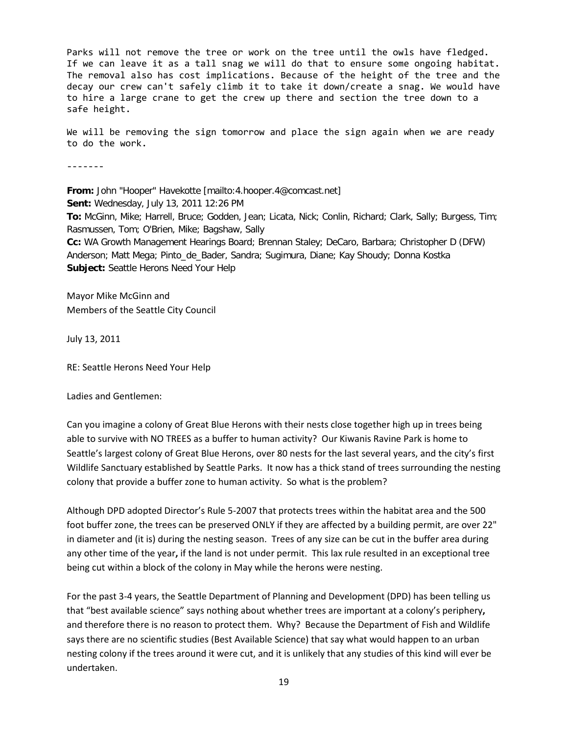Parks will not remove the tree or work on the tree until the owls have fledged. If we can leave it as a tall snag we will do that to ensure some ongoing habitat. The removal also has cost implications. Because of the height of the tree and the decay our crew can't safely climb it to take it down/create a snag. We would have to hire a large crane to get the crew up there and section the tree down to a safe height.

We will be removing the sign tomorrow and place the sign again when we are ready to do the work.

-------

**From:** John "Hooper" Havekotte [mailto:4.hooper.4@comcast.net] **Sent:** Wednesday, July 13, 2011 12:26 PM **To:** McGinn, Mike; Harrell, Bruce; Godden, Jean; Licata, Nick; Conlin, Richard; Clark, Sally; Burgess, Tim; Rasmussen, Tom; O'Brien, Mike; Bagshaw, Sally **Cc:** WA Growth Management Hearings Board; Brennan Staley; DeCaro, Barbara; Christopher D (DFW) Anderson; Matt Mega; Pinto\_de\_Bader, Sandra; Sugimura, Diane; Kay Shoudy; Donna Kostka **Subject:** Seattle Herons Need Your Help

Mayor Mike McGinn and Members of the Seattle City Council

July 13, 2011

RE: Seattle Herons Need Your Help

Ladies and Gentlemen:

Can you imagine a colony of Great Blue Herons with their nests close together high up in trees being able to survive with NO TREES as a buffer to human activity? Our Kiwanis Ravine Park is home to Seattle's largest colony of Great Blue Herons, over 80 nests for the last several years, and the city's first Wildlife Sanctuary established by Seattle Parks. It now has a thick stand of trees surrounding the nesting colony that provide a buffer zone to human activity. So what is the problem?

Although DPD adopted Director's Rule 5-2007 that protects trees within the habitat area and the 500 foot buffer zone, the trees can be preserved ONLY if they are affected by a building permit, are over 22" in diameter and (it is) during the nesting season. Trees of any size can be cut in the buffer area during any other time of the year**,** if the land is not under permit. This lax rule resulted in an exceptional tree being cut within a block of the colony in May while the herons were nesting.

For the past 3-4 years, the Seattle Department of Planning and Development (DPD) has been telling us that "best available science" says nothing about whether trees are important at a colony's periphery**,** and therefore there is no reason to protect them. Why? Because the Department of Fish and Wildlife says there are no scientific studies (Best Available Science) that say what would happen to an urban nesting colony if the trees around it were cut, and it is unlikely that any studies of this kind will ever be undertaken.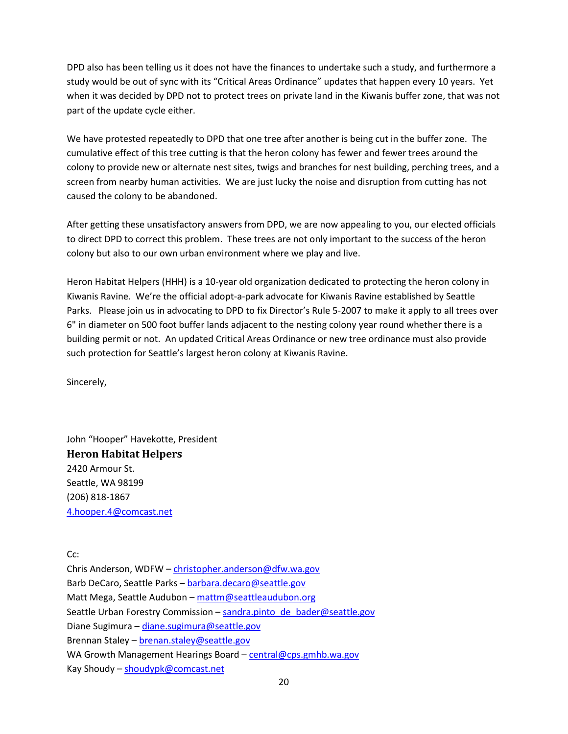DPD also has been telling us it does not have the finances to undertake such a study, and furthermore a study would be out of sync with its "Critical Areas Ordinance" updates that happen every 10 years. Yet when it was decided by DPD not to protect trees on private land in the Kiwanis buffer zone, that was not part of the update cycle either.

We have protested repeatedly to DPD that one tree after another is being cut in the buffer zone. The cumulative effect of this tree cutting is that the heron colony has fewer and fewer trees around the colony to provide new or alternate nest sites, twigs and branches for nest building, perching trees, and a screen from nearby human activities. We are just lucky the noise and disruption from cutting has not caused the colony to be abandoned.

After getting these unsatisfactory answers from DPD, we are now appealing to you, our elected officials to direct DPD to correct this problem. These trees are not only important to the success of the heron colony but also to our own urban environment where we play and live.

Heron Habitat Helpers (HHH) is a 10-year old organization dedicated to protecting the heron colony in Kiwanis Ravine. We're the official adopt-a-park advocate for Kiwanis Ravine established by Seattle Parks. Please join us in advocating to DPD to fix Director's Rule 5-2007 to make it apply to all trees over 6" in diameter on 500 foot buffer lands adjacent to the nesting colony year round whether there is a building permit or not. An updated Critical Areas Ordinance or new tree ordinance must also provide such protection for Seattle's largest heron colony at Kiwanis Ravine.

Sincerely,

John "Hooper" Havekotte, President **Heron Habitat Helpers** 2420 Armour St. Seattle, WA 98199 (206) 818-1867 [4.hooper.4@comcast.net](mailto:4.hooper.4@comcast.net)

Cc:

Chris Anderson, WDFW – [christopher.anderson@dfw.wa.gov](mailto:christopher.anderson@dfw.wa.gov) Barb DeCaro, Seattle Parks – [barbara.decaro@seattle.gov](mailto:barbara.decaro@seattle.gov) Matt Mega, Seattle Audubon – [mattm@seattleaudubon.org](mailto:mattm@seattleaudubon.org) Seattle Urban Forestry Commission – [sandra.pinto\\_de\\_bader@seattle.gov](mailto:sandra.pinto_de_bader@seattle.gov) Diane Sugimura – [diane.sugimura@seattle.gov](mailto:diane.sugimura@seattle.gov) Brennan Staley – [brenan.staley@seattle.gov](mailto:brenan.staley@seattle.gov) WA Growth Management Hearings Board – [central@cps.gmhb.wa.gov](mailto:central@cps.gmhb.wa.gov) Kay Shoudy – [shoudypk@comcast.net](mailto:shoudypk@comcast.net)